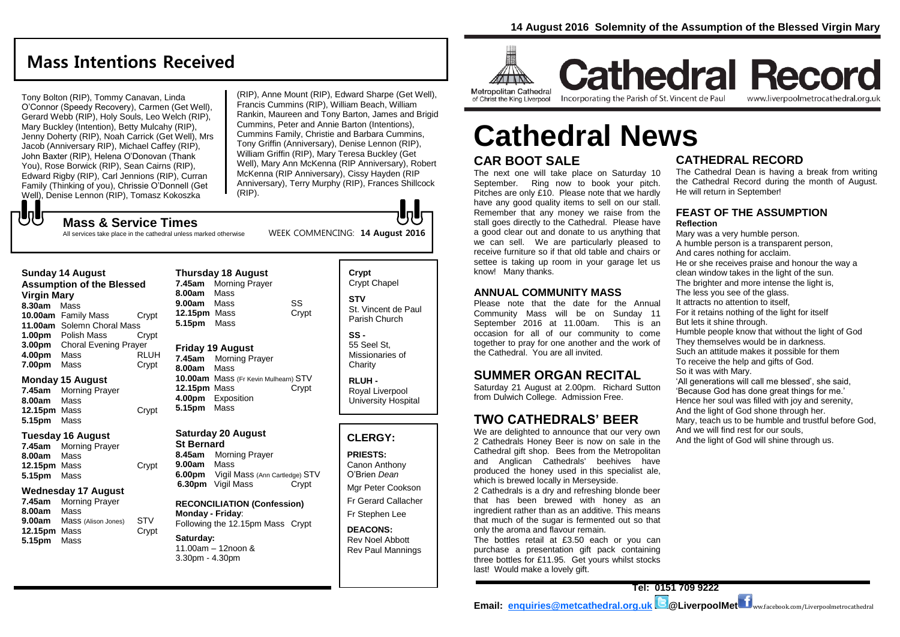## **Mass Intentions Received**

Tony Bolton (RIP), Tommy Canavan, Linda O'Connor (Speedy Recovery), Carmen (Get Well), Gerard Webb (RIP), Holy Souls, Leo Welch (RIP), Mary Buckley (Intention), Betty Mulcahy (RIP), Jenny Doherty (RIP), Noah Carrick (Get Well), Mrs Jacob (Anniversary RIP), Michael Caffey (RIP), John Baxter (RIP), Helena O'Donovan (Thank You), Rose Borwick (RIP), Sean Cairns (RIP), Edward Rigby (RIP), Carl Jennions (RIP), Curran Family (Thinking of you), Chrissie O'Donnell (Get Well), Denise Lennon (RIP), Tomasz Kokoszka

(RIP), Anne Mount (RIP), Edward Sharpe (Get Well), Francis Cummins (RIP), William Beach, William Rankin, Maureen and Tony Barton, James and Brigid Cummins, Peter and Annie Barton (Intentions), Cummins Family, Christie and Barbara Cummins, Tony Griffin (Anniversary), Denise Lennon (RIP), William Griffin (RIP), Mary Teresa Buckley (Get Well), Mary Ann McKenna (RIP Anniversary), Robert McKenna (RIP Anniversary), Cissy Hayden (RIP Anniversary), Terry Murphy (RIP), Frances Shillcock (RIP).

## ${\bf J}$ **Mass & Service Times**

All services take place in the cathedral unless marked otherwise

#### **Sunday 14 August Assumption of the Blessed**

#### **Virgin Mary**

**8.30am** Mass **10.00am** Family Mass Crypt **11.00am** Solemn Choral Mass **1.00pm** Polish Mass Crypt **3.00pm** Choral Evening Prayer **4.00pm** Mass RLUH **7.00pm** Mass Crypt

#### **Monday 15 August**

**7.45am** Morning Prayer **8.00am** Mass **12.15pm** Mass Crypt **5.15pm** Mass

#### **Tuesday 16 August**

**7.45am** Morning Prayer **8.00am** Mass **12.15pm** Mass Crypt **5.15pm** Mass

#### **Wednesday 17 August**

**7.45am** Morning Prayer **8.00am** Mass **9.00am** Mass (Alison Jones) STV **12.15pm** Mass Crypt **5.15pm** Mass

#### **Thursday 18 August 7.45am** Morning Prayer **8.00am** Mass **9.00am** Mass SS **12.15pm** Mass Crypt **5.15pm** Mass

#### **Friday 19 August**

**7.45am** Morning Prayer **8.00am** Mass **10.00am** Mass (Fr Kevin Mulhearn) STV **12.15pm** Mass Crypt **4.00pm** Exposition **5.15pm** Mass

## **Saturday 20 August**

**St Bernard 8.45am** Morning Prayer **9.00am** Mass **6.00pm** Vigil Mass (Ann Cartledge) STV **6.30pm** Vigil Mass Crypt

#### **RECONCILIATION (Confession) Monday - Friday**: Following the 12.15pm Mass Crypt

**Saturday:** 11.00am – 12noon & 3.30pm - 4.30pm

#### **Crypt**  Crypt Chapel **STV** St. Vincent de Paul Parish Church

W

**SS -** 55 Seel St, Missionaries of **Charity** 

**RLUH -** Royal Liverpool University Hospital

## **CLERGY:**

**PRIESTS:** Canon Anthony O'Brien *Dean*

Mgr Peter Cookson Fr Gerard Callacher

Fr Stephen Lee

**DEACONS:** Rev Noel Abbott Rev Paul Mannings



**Cathedral Record** of Christ the King Liverpool

Incorporating the Parish of St. Vincent de Paul www.liverpoolmetrocathedral.org.uk

# **Cathedral News**

## **CAR BOOT SALE**

The next one will take place on Saturday 10 September. Ring now to book your pitch. Pitches are only £10. Please note that we hardly have any good quality items to sell on our stall. Remember that any money we raise from the stall goes directly to the Cathedral. Please have a good clear out and donate to us anything that we can sell. We are particularly pleased to receive furniture so if that old table and chairs or settee is taking up room in your garage let us know! Many thanks.

### **ANNUAL COMMUNITY MASS**

Please note that the date for the Annual Community Mass will be on Sunday 11 September 2016 at 11.00am. This is an occasion for all of our community to come together to pray for one another and the work of the Cathedral. You are all invited.

## **SUMMER ORGAN RECITAL**

Saturday 21 August at 2.00pm. Richard Sutton from Dulwich College. Admission Free.

## **TWO CATHEDRALS' BEER**

We are delighted to announce that our very own 2 Cathedrals Honey Beer is now on sale in the Cathedral gift shop. Bees from the Metropolitan and Anglican Cathedrals' beehives have produced the honey used in this specialist ale, which is brewed locally in Merseyside.

2 Cathedrals is a dry and refreshing blonde beer that has been brewed with honey as an ingredient rather than as an additive. This means that much of the sugar is fermented out so that only the aroma and flavour remain.

The bottles retail at £3.50 each or you can purchase a presentation gift pack containing three bottles for £11.95. Get yours whilst stocks last! Would make a lovely gift.

## **CATHEDRAL RECORD**

The Cathedral Dean is having a break from writing the Cathedral Record during the month of August. He will return in September!

#### **FEAST OF THE ASSUMPTION Reflection**

Mary was a very humble person. A humble person is a transparent person, And cares nothing for acclaim. He or she receives praise and honour the way a clean window takes in the light of the sun. The brighter and more intense the light is, The less you see of the glass. It attracts no attention to itself, For it retains nothing of the light for itself But lets it shine through. Humble people know that without the light of God They themselves would be in darkness. Such an attitude makes it possible for them To receive the help and gifts of God. So it was with Mary. 'All generations will call me blessed', she said, 'Because God has done great things for me.' Hence her soul was filled with joy and serenity, And the light of God shone through her. Mary, teach us to be humble and trustful before God, And we will find rest for our souls, And the light of God will shine through us.

WEEK COMMENCING: **14 August 2016**